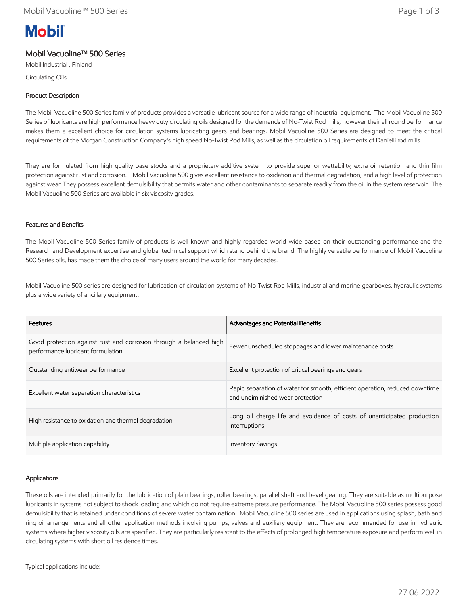# **Mobil**

## Mobil Vacuoline™ 500 Series

Mobil Industrial , Finland Circulating Oils

#### Product Description

The Mobil Vacuoline 500 Series family of products provides a versatile lubricant source for a wide range of industrial equipment. The Mobil Vacuoline 500 Series of lubricants are high performance heavy duty circulating oils designed for the demands of No-Twist Rod mills, however their all round performance makes them a excellent choice for circulation systems lubricating gears and bearings. Mobil Vacuoline 500 Series are designed to meet the critical requirements of the Morgan Construction Company's high speed No-Twist Rod Mills, as well as the circulation oil requirements of Danielli rod mills.

They are formulated from high quality base stocks and a proprietary additive system to provide superior wettability, extra oil retention and thin film protection against rust and corrosion. Mobil Vacuoline 500 gives excellent resistance to oxidation and thermal degradation, and a high level of protection against wear. They possess excellent demulsibility that permits water and other contaminants to separate readily from the oil in the system reservoir. The Mobil Vacuoline 500 Series are available in six viscosity grades.

#### Features and Benefits

The Mobil Vacuoline 500 Series family of products is well known and highly regarded world-wide based on their outstanding performance and the Research and Development expertise and global technical support which stand behind the brand. The highly versatile performance of Mobil Vacuoline 500 Series oils, has made them the choice of many users around the world for many decades.

Mobil Vacuoline 500 series are designed for lubrication of circulation systems of No-Twist Rod Mills, industrial and marine gearboxes, hydraulic systems plus a wide variety of ancillary equipment.

| <b>Features</b>                                                                                         | <b>Advantages and Potential Benefits</b>                                                                        |
|---------------------------------------------------------------------------------------------------------|-----------------------------------------------------------------------------------------------------------------|
| Good protection against rust and corrosion through a balanced high<br>performance lubricant formulation | Fewer unscheduled stoppages and lower maintenance costs                                                         |
| Outstanding antiwear performance                                                                        | Excellent protection of critical bearings and gears                                                             |
| Excellent water separation characteristics                                                              | Rapid separation of water for smooth, efficient operation, reduced downtime<br>and undiminished wear protection |
| High resistance to oxidation and thermal degradation                                                    | Long oil charge life and avoidance of costs of unanticipated production<br>interruptions                        |
| Multiple application capability                                                                         | <b>Inventory Savings</b>                                                                                        |

#### Applications

These oils are intended primarily for the lubrication of plain bearings, roller bearings, parallel shaft and bevel gearing. They are suitable as multipurpose lubricants in systems not subject to shock loading and which do not require extreme pressure performance. The Mobil Vacuoline 500 series possess good demulsibility that is retained under conditions of severe water contamination. Mobil Vacuoline 500 series are used in applications using splash, bath and ring oil arrangements and all other application methods involving pumps, valves and auxiliary equipment. They are recommended for use in hydraulic systems where higher viscosity oils are specified. They are particularly resistant to the effects of prolonged high temperature exposure and perform well in circulating systems with short oil residence times.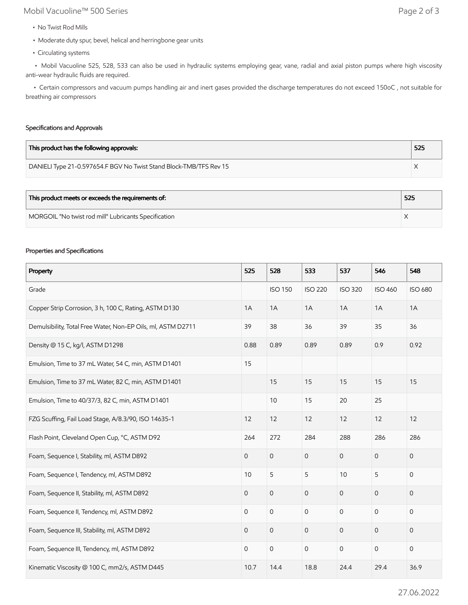# Mobil Vacuoline™ 500 Series Page 2 of 3

- No Twist Rod Mills
- Moderate duty spur, bevel, helical and herringbone gear units
- Circulating systems

 • Mobil Vacuoline 525, 528, 533 can also be used in hydraulic systems employing gear, vane, radial and axial piston pumps where high viscosity anti-wear hydraulic fluids are required.

 • Certain compressors and vacuum pumps handling air and inert gases provided the discharge temperatures do not exceed 150oC , not suitable for breathing air compressors

#### Specifications and Approvals

| This product has the following approvals:                          | 525 |
|--------------------------------------------------------------------|-----|
| DANIELI Type 21-0.597654.F BGV No Twist Stand Block-TMB/TFS Rev 15 |     |

| This product meets or exceeds the requirements of:   | 525 |
|------------------------------------------------------|-----|
| MORGOIL "No twist rod mill" Lubricants Specification |     |

#### Properties and Specifications

| Property                                                     | 525            | 528                 | 533                 | 537            | 546            | 548            |
|--------------------------------------------------------------|----------------|---------------------|---------------------|----------------|----------------|----------------|
| Grade                                                        |                | <b>ISO 150</b>      | <b>ISO 220</b>      | <b>ISO 320</b> | <b>ISO 460</b> | <b>ISO 680</b> |
| Copper Strip Corrosion, 3 h, 100 C, Rating, ASTM D130        | 1A             | 1A                  | 1A                  | 1A             | 1A             | 1A             |
| Demulsibility, Total Free Water, Non-EP Oils, ml, ASTM D2711 | 39             | 38                  | 36                  | 39             | 35             | 36             |
| Density @ 15 C, kg/l, ASTM D1298                             | 0.88           | 0.89                | 0.89                | 0.89           | 0.9            | 0.92           |
| Emulsion, Time to 37 mL Water, 54 C, min, ASTM D1401         | 15             |                     |                     |                |                |                |
| Emulsion, Time to 37 mL Water, 82 C, min, ASTM D1401         |                | 15                  | 15                  | 15             | 15             | 15             |
| Emulsion, Time to 40/37/3, 82 C, min, ASTM D1401             |                | 10                  | 15                  | 20             | 25             |                |
| FZG Scuffing, Fail Load Stage, A/8.3/90, ISO 14635-1         | 12             | 12                  | 12                  | 12             | 12             | 12             |
| Flash Point, Cleveland Open Cup, °C, ASTM D92                | 264            | 272                 | 284                 | 288            | 286            | 286            |
| Foam, Sequence I, Stability, ml, ASTM D892                   | $\mathbf 0$    | $\mathsf{O}\xspace$ | $\mathsf{O}\xspace$ | $\mathbf{O}$   | $\mathbf 0$    | $\mathbf 0$    |
| Foam, Sequence I, Tendency, ml, ASTM D892                    | 10             | 5                   | 5                   | 10             | 5              | $\mathbf 0$    |
| Foam, Sequence II, Stability, ml, ASTM D892                  | $\mathbf 0$    | $\mathsf{O}$        | $\overline{0}$      | $\mathbf{O}$   | $\overline{0}$ | 0              |
| Foam, Sequence II, Tendency, ml, ASTM D892                   | $\mathbf 0$    | $\mathbf 0$         | $\mathbf 0$         | $\mathbf 0$    | 0              | 0              |
| Foam, Sequence III, Stability, ml, ASTM D892                 | $\mathbf 0$    | $\mathsf{O}\xspace$ | $\mathbf 0$         | $\mathbf 0$    | 0              | 0              |
| Foam, Sequence III, Tendency, ml, ASTM D892                  | $\overline{0}$ | $\mathsf{O}\xspace$ | $\mathsf{O}$        | $\mathsf{O}$   | $\mathbf 0$    | $\mathbf 0$    |
| Kinematic Viscosity @ 100 C, mm2/s, ASTM D445                | 10.7           | 14.4                | 18.8                | 24.4           | 29.4           | 36.9           |